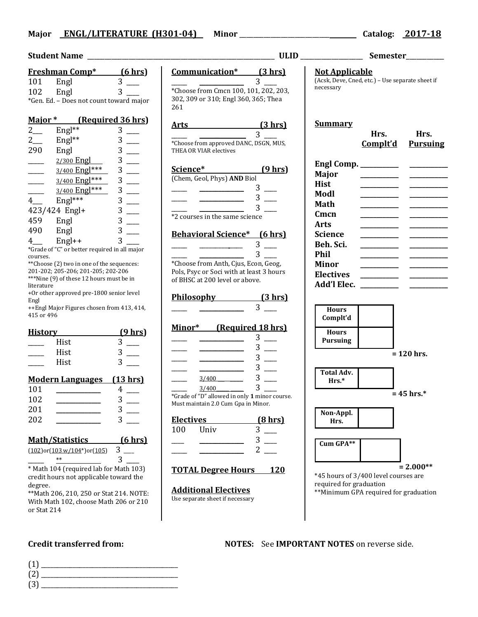## **Major ENGL/LITERATURE (H301-04) Minor** \_\_\_\_\_\_\_\_\_\_\_\_\_\_\_\_\_\_\_\_\_\_\_\_\_\_ **Catalog: 2017-18**

| Student Name                                                                     |                                               |                                                 |  |
|----------------------------------------------------------------------------------|-----------------------------------------------|-------------------------------------------------|--|
|                                                                                  | <u>Freshman Comp*</u>                         | <u>(6 hrs)</u>                                  |  |
| 101                                                                              | Engl                                          | 3                                               |  |
| 102                                                                              | Engl                                          | 3                                               |  |
|                                                                                  | *Gen. Ed. - Does not count toward major       |                                                 |  |
| (Required 36 hrs)<br><u>Major *</u>                                              |                                               |                                                 |  |
| $2$ <sub>___</sub>                                                               | Engl**                                        | 3                                               |  |
| $2\overline{a}$                                                                  | Engl**                                        | 3                                               |  |
| 290                                                                              | Engl                                          | $\frac{1}{3}$                                   |  |
|                                                                                  | 2/300 Engl                                    |                                                 |  |
|                                                                                  | 3/400 Engl***                                 |                                                 |  |
|                                                                                  | 3/400 Engl ***                                | $\begin{array}{c} 3 \\ 3 \\ 3 \\ 3 \end{array}$ |  |
|                                                                                  |                                               |                                                 |  |
|                                                                                  | 3/400 Engl ***                                |                                                 |  |
| 4                                                                                | Engl***                                       | 3                                               |  |
|                                                                                  | 423/424 Engl+                                 | 3                                               |  |
| 459                                                                              | Engl                                          | $\frac{1}{3}$                                   |  |
| 490                                                                              | Engl                                          | 3                                               |  |
| 4                                                                                | Engl++                                        |                                                 |  |
|                                                                                  | *Grade of "C" or better required in all major |                                                 |  |
| courses.                                                                         |                                               |                                                 |  |
| **Choose (2) two in one of the sequences:                                        |                                               |                                                 |  |
| 201-202; 205-206; 201-205; 202-206<br>***Nine (9) of these 12 hours must be in   |                                               |                                                 |  |
| literature                                                                       |                                               |                                                 |  |
| +Or other approved pre-1800 senior level                                         |                                               |                                                 |  |
| Engl                                                                             |                                               |                                                 |  |
| 415 or 496                                                                       | ++Engl Major Figures chosen from 413, 414,    |                                                 |  |
|                                                                                  |                                               |                                                 |  |
| <u>History</u>                                                                   |                                               | <u>(9 hrs)</u>                                  |  |
|                                                                                  | Hist                                          | 3                                               |  |
|                                                                                  | Hist                                          |                                                 |  |
|                                                                                  | Hist                                          |                                                 |  |
|                                                                                  |                                               |                                                 |  |
| Modern Languages (13 hrs)                                                        |                                               |                                                 |  |
| 101                                                                              |                                               | 4                                               |  |
| 102                                                                              |                                               | 3                                               |  |
| 201                                                                              |                                               |                                                 |  |
| 202                                                                              |                                               |                                                 |  |
|                                                                                  |                                               |                                                 |  |
| <u> Math/Statistics</u><br>$(6 \text{ hrs})$                                     |                                               |                                                 |  |
| 3<br>$(102)$ or $(103 \text{ w}/104^*)$ or $(105)$                               |                                               |                                                 |  |
| $**$<br>З                                                                        |                                               |                                                 |  |
|                                                                                  |                                               |                                                 |  |
| * Math 104 (required lab for Math 103)<br>credit hours not applicable toward the |                                               |                                                 |  |
| degree.                                                                          |                                               |                                                 |  |
| ** Math 206, 210, 250 or Stat 214. NOTE:                                         |                                               |                                                 |  |
| With Math 102, choose Math 206 or 210                                            |                                               |                                                 |  |

| Communication* (3 hrs)<br><b>Not Applicable</b><br>3 <sup>7</sup><br>$\overline{\phantom{a}}$ and $\overline{\phantom{a}}$ and $\overline{\phantom{a}}$<br>necessary                                                                                                                                                                                                                                             | (Acsk, Deve, Cned, etc.) - Use separate sheet if                                                                                                                                                                                                                                                                                                                                                                                                                                                                                                                                                                                                                                                                                                                                                                                                                                                                                                                                                                                                                                                                                                                                                                                                                                                                                                                                                                                                                                                                                                                                                                                                                                                                                                                                                                                 |
|------------------------------------------------------------------------------------------------------------------------------------------------------------------------------------------------------------------------------------------------------------------------------------------------------------------------------------------------------------------------------------------------------------------|----------------------------------------------------------------------------------------------------------------------------------------------------------------------------------------------------------------------------------------------------------------------------------------------------------------------------------------------------------------------------------------------------------------------------------------------------------------------------------------------------------------------------------------------------------------------------------------------------------------------------------------------------------------------------------------------------------------------------------------------------------------------------------------------------------------------------------------------------------------------------------------------------------------------------------------------------------------------------------------------------------------------------------------------------------------------------------------------------------------------------------------------------------------------------------------------------------------------------------------------------------------------------------------------------------------------------------------------------------------------------------------------------------------------------------------------------------------------------------------------------------------------------------------------------------------------------------------------------------------------------------------------------------------------------------------------------------------------------------------------------------------------------------------------------------------------------------|
| $\overline{3}$<br>Major<br><b>Hist</b><br>Modl<br>Math<br>$3 \quad -$<br>Cmcn<br><b>Arts</b><br><b>Science</b><br>Beh. Sci.<br>$\mathbf{3}$<br>Phil<br><b>Minor</b><br><b>Hours</b><br><b>Hours</b><br>$3$ —<br>$3$ —<br>$3$ —<br>$3$ __<br>$\overline{\phantom{a}}$<br>$3$ —<br>$\frac{3}{400}$<br>$Hrs.*$<br>$3-$<br>$\frac{3}{400}$<br>$(8 \text{ hrs})$<br>Hrs.<br>3<br>Univ<br>$3$ —<br>$2$ —<br><b>120</b> | Hrs.<br>Hrs.<br>Complt'd<br><b>Pursuing</b><br>$= 120$ hrs.<br>$= 45$ hrs.*<br>$= 2.000**$<br>*45 hours of 3/400 level courses are<br>required for graduation                                                                                                                                                                                                                                                                                                                                                                                                                                                                                                                                                                                                                                                                                                                                                                                                                                                                                                                                                                                                                                                                                                                                                                                                                                                                                                                                                                                                                                                                                                                                                                                                                                                                    |
|                                                                                                                                                                                                                                                                                                                                                                                                                  | *Choose from Cmcn 100, 101, 202, 203,<br>302, 309 or 310; Engl 360, 365; Thea<br>261<br><b>Summary</b><br>Arts (3 hrs)<br>$\overline{\phantom{a}}$ and $\overline{\phantom{a}}$ and $\overline{\phantom{a}}$<br>*Choose from approved DANC, DSGN, MUS,<br>THEA OR VIAR electives<br>Science* (9 hrs)<br>(Chem, Geol, Phys) AND Biol<br>$\frac{1}{\sqrt{2}}$ $\frac{1}{\sqrt{2}}$ $\frac{1}{\sqrt{2}}$ $\frac{1}{\sqrt{2}}$ $\frac{1}{\sqrt{2}}$ $\frac{1}{\sqrt{2}}$ $\frac{1}{\sqrt{2}}$ $\frac{1}{\sqrt{2}}$ $\frac{1}{\sqrt{2}}$ $\frac{1}{\sqrt{2}}$ $\frac{1}{\sqrt{2}}$ $\frac{1}{\sqrt{2}}$ $\frac{1}{\sqrt{2}}$ $\frac{1}{\sqrt{2}}$ $\frac{1}{\sqrt{2}}$ $\frac{1}{\sqrt{2}}$ $\frac{1}{\sqrt{2}}$<br>$\frac{1}{\sqrt{1-\frac{3}{2}}}$ 3 $\frac{1}{\sqrt{1-\frac{3}{2}}}$<br>$\frac{3}{2}$ courses in the same science<br><b>Behavioral Science*</b> (6 hrs)<br>$\frac{1}{\sqrt{1-\frac{3}{2}}}$<br>*Choose from Anth, Cjus, Econ, Geog,<br>Pols, Psyc or Soci with at least 3 hours<br><b>Electives</b><br>of BHSC at 200 level or above.<br>Philosophy (3 hrs)<br>Complt'd<br>Minor* (Required 18 hrs)<br><b>Pursuing</b><br>$\begin{tabular}{ll} \multicolumn{2}{c} {\textbf{1}} & \multicolumn{2}{c} {\textbf{1}} & \multicolumn{2}{c} {\textbf{1}} \\ \multicolumn{2}{c} {\textbf{1}} & \multicolumn{2}{c} {\textbf{1}} & \multicolumn{2}{c} {\textbf{1}} \\ \multicolumn{2}{c} {\textbf{1}} & \multicolumn{2}{c} {\textbf{1}} & \multicolumn{2}{c} {\textbf{1}} \\ \multicolumn{2}{c} {\textbf{1}} & \multicolumn{2}{c} {\textbf{1}} & \multicolumn{2}{c} {\textbf{1}} \\ \multicolumn{2}{c} {\textbf{1}} & \multicolumn$<br>Total Adv.<br>*Grade of "D" allowed in only 1 minor course.<br>Must maintain 2.0 Cum Gpa in Minor.<br>Non-Appl.<br><b>Electives</b><br>100<br>Cum GPA**<br><b>TOTAL Degree Hours</b> |



- (1) \_\_\_\_\_\_\_\_\_\_\_\_\_\_\_\_\_\_\_\_\_\_\_\_\_\_\_\_\_\_\_\_\_\_\_\_\_\_\_\_\_\_\_ (2) \_\_\_\_\_\_\_\_\_\_\_\_\_\_\_\_\_\_\_\_\_\_\_\_\_\_\_\_\_\_\_\_\_\_\_\_\_\_\_\_\_\_\_
- (3) \_\_\_\_\_\_\_\_\_\_\_\_\_\_\_\_\_\_\_\_\_\_\_\_\_\_\_\_\_\_\_\_\_\_\_\_\_\_\_\_\_\_\_